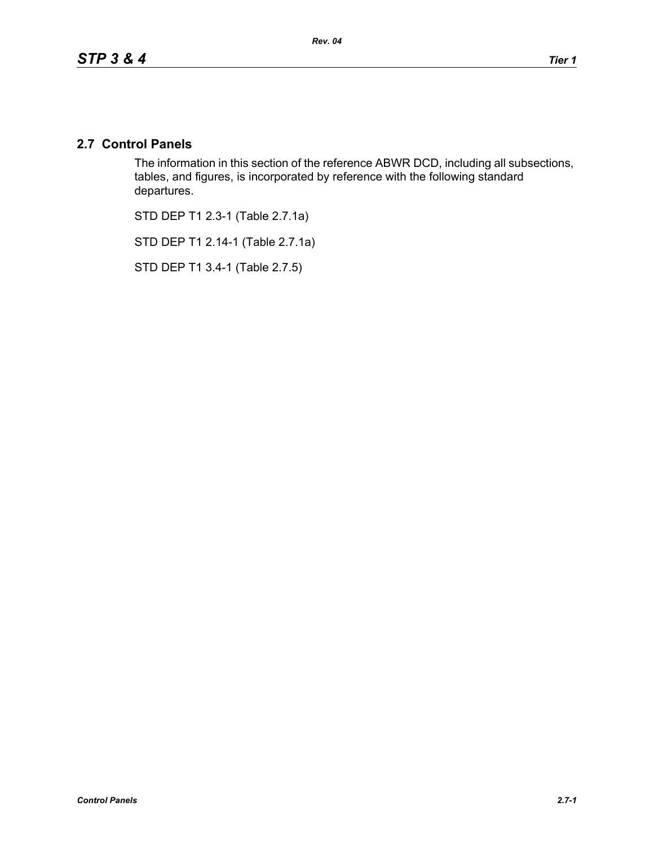# **2.7 Control Panels**

The information in this section of the reference ABWR DCD, including all subsections, tables, and figures, is incorporated by reference with the following standard departures.

STD DEP T1 2.3-1 (Table 2.7.1a)

STD DEP T1 2.14-1 (Table 2.7.1a)

STD DEP T1 3.4-1 (Table 2.7.5)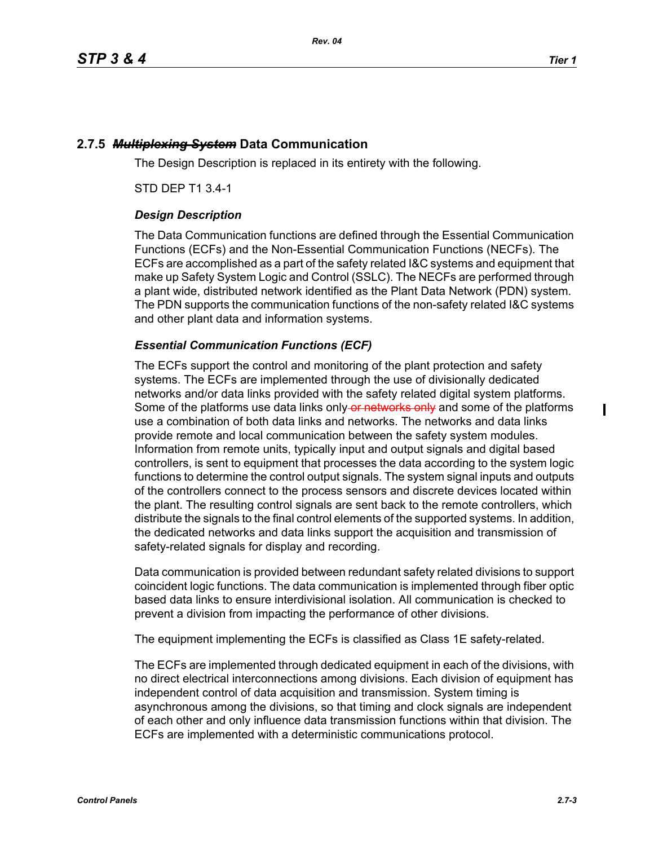ı

# **2.7.5** *Multiplexing System* **Data Communication**

The Design Description is replaced in its entirety with the following.

STD DEP T1 3.4-1

## *Design Description*

The Data Communication functions are defined through the Essential Communication Functions (ECFs) and the Non-Essential Communication Functions (NECFs). The ECFs are accomplished as a part of the safety related I&C systems and equipment that make up Safety System Logic and Control (SSLC). The NECFs are performed through a plant wide, distributed network identified as the Plant Data Network (PDN) system. The PDN supports the communication functions of the non-safety related I&C systems and other plant data and information systems.

## *Essential Communication Functions (ECF)*

The ECFs support the control and monitoring of the plant protection and safety systems. The ECFs are implemented through the use of divisionally dedicated networks and/or data links provided with the safety related digital system platforms. Some of the platforms use data links only-or networks only and some of the platforms use a combination of both data links and networks. The networks and data links provide remote and local communication between the safety system modules. Information from remote units, typically input and output signals and digital based controllers, is sent to equipment that processes the data according to the system logic functions to determine the control output signals. The system signal inputs and outputs of the controllers connect to the process sensors and discrete devices located within the plant. The resulting control signals are sent back to the remote controllers, which distribute the signals to the final control elements of the supported systems. In addition, the dedicated networks and data links support the acquisition and transmission of safety-related signals for display and recording.

Data communication is provided between redundant safety related divisions to support coincident logic functions. The data communication is implemented through fiber optic based data links to ensure interdivisional isolation. All communication is checked to prevent a division from impacting the performance of other divisions.

The equipment implementing the ECFs is classified as Class 1E safety-related.

The ECFs are implemented through dedicated equipment in each of the divisions, with no direct electrical interconnections among divisions. Each division of equipment has independent control of data acquisition and transmission. System timing is asynchronous among the divisions, so that timing and clock signals are independent of each other and only influence data transmission functions within that division. The ECFs are implemented with a deterministic communications protocol.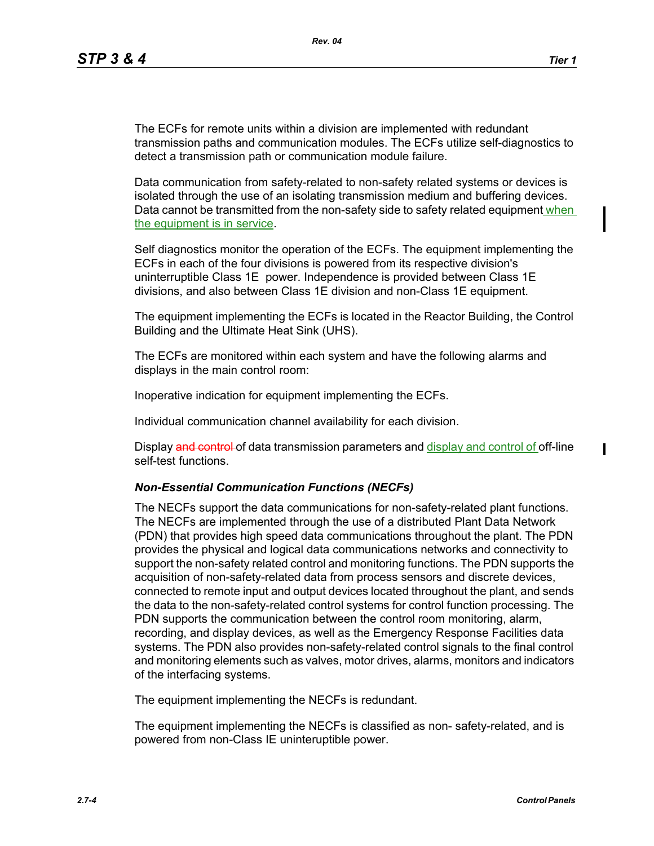The ECFs for remote units within a division are implemented with redundant transmission paths and communication modules. The ECFs utilize self-diagnostics to detect a transmission path or communication module failure.

Data communication from safety-related to non-safety related systems or devices is isolated through the use of an isolating transmission medium and buffering devices. Data cannot be transmitted from the non-safety side to safety related equipment when the equipment is in service.

Self diagnostics monitor the operation of the ECFs. The equipment implementing the ECFs in each of the four divisions is powered from its respective division's uninterruptible Class 1E power. Independence is provided between Class 1E divisions, and also between Class 1E division and non-Class 1E equipment.

The equipment implementing the ECFs is located in the Reactor Building, the Control Building and the Ultimate Heat Sink (UHS).

The ECFs are monitored within each system and have the following alarms and displays in the main control room:

Inoperative indication for equipment implementing the ECFs.

Individual communication channel availability for each division.

Display and control of data transmission parameters and display and control of off-line self-test functions.

### *Non-Essential Communication Functions (NECFs)*

The NECFs support the data communications for non-safety-related plant functions. The NECFs are implemented through the use of a distributed Plant Data Network (PDN) that provides high speed data communications throughout the plant. The PDN provides the physical and logical data communications networks and connectivity to support the non-safety related control and monitoring functions. The PDN supports the acquisition of non-safety-related data from process sensors and discrete devices, connected to remote input and output devices located throughout the plant, and sends the data to the non-safety-related control systems for control function processing. The PDN supports the communication between the control room monitoring, alarm, recording, and display devices, as well as the Emergency Response Facilities data systems. The PDN also provides non-safety-related control signals to the final control and monitoring elements such as valves, motor drives, alarms, monitors and indicators of the interfacing systems.

The equipment implementing the NECFs is redundant.

The equipment implementing the NECFs is classified as non- safety-related, and is powered from non-Class IE uninteruptible power.

I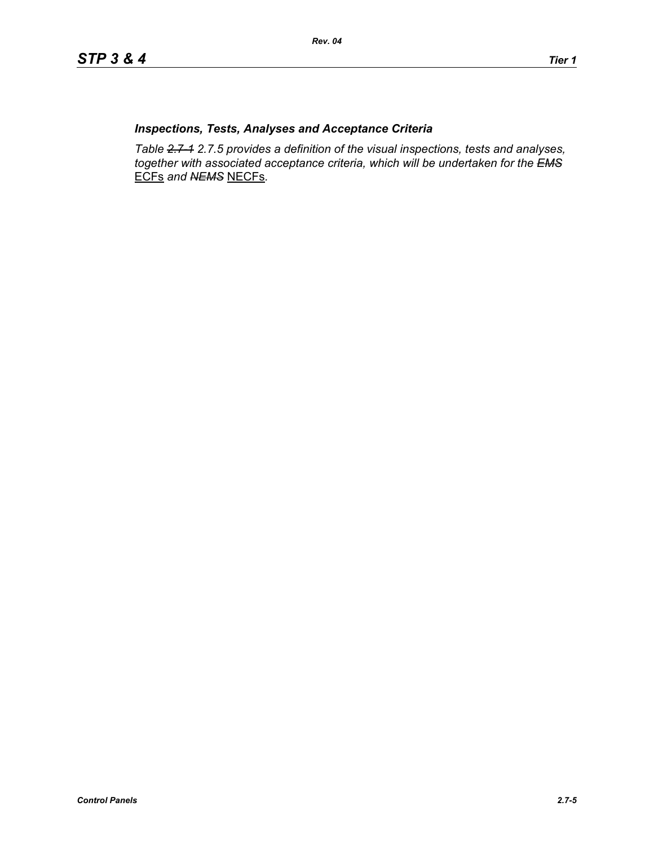## *Inspections, Tests, Analyses and Acceptance Criteria*

*Table 2.7-1 2.7.5 provides a definition of the visual inspections, tests and analyses, together with associated acceptance criteria, which will be undertaken for the EMS* ECFs *and NEMS* NECFs*.*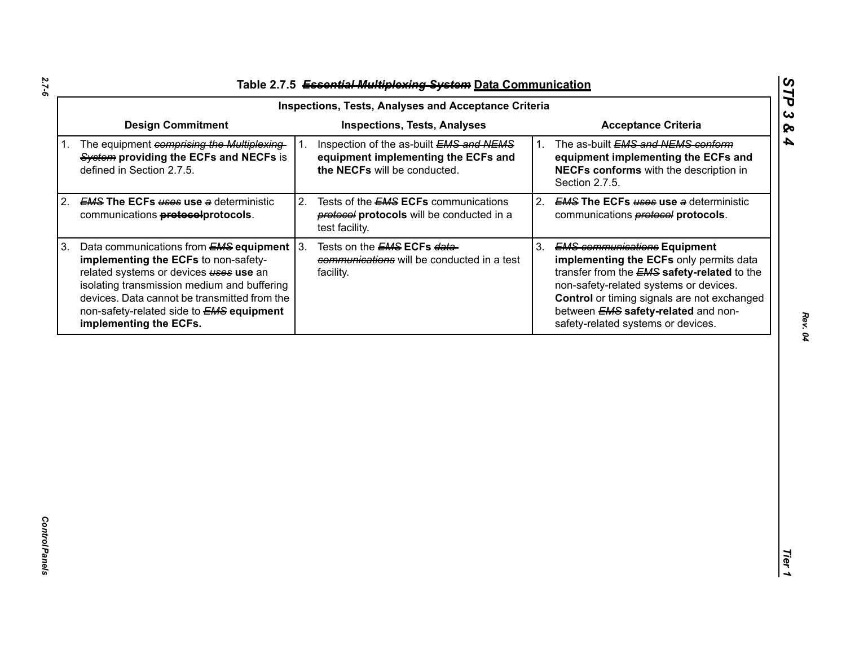| Table 2.7.5 Essential Multiplexing System Data Communication |  |
|--------------------------------------------------------------|--|

|             |                                                                                                                                                                                                                                                                                                               |    | <b>Inspections, Tests, Analyses and Acceptance Criteria</b>                                                    |    |                                                                                                                                                                                                                                                                                                                   |
|-------------|---------------------------------------------------------------------------------------------------------------------------------------------------------------------------------------------------------------------------------------------------------------------------------------------------------------|----|----------------------------------------------------------------------------------------------------------------|----|-------------------------------------------------------------------------------------------------------------------------------------------------------------------------------------------------------------------------------------------------------------------------------------------------------------------|
|             | <b>Design Commitment</b>                                                                                                                                                                                                                                                                                      |    | <b>Inspections, Tests, Analyses</b>                                                                            |    | <b>Acceptance Criteria</b>                                                                                                                                                                                                                                                                                        |
| $1_{\cdot}$ | The equipment comprising the Multiplexing-<br>System providing the ECFs and NECFs is<br>defined in Section 2.7.5.                                                                                                                                                                                             |    | Inspection of the as-built EMS and NEMS<br>equipment implementing the ECFs and<br>the NECFs will be conducted. | 1. | The as-built EMS and NEMS conform<br>equipment implementing the ECFs and<br>NECFs conforms with the description in<br>Section 2.7.5.                                                                                                                                                                              |
| 2.          | <b>EMS The ECFs uses use a deterministic</b><br>communications <b>protocolprotocols</b> .                                                                                                                                                                                                                     | 2. | Tests of the <b>EMS ECFs</b> communications<br>protocols will be conducted in a<br>test facility.              | 2. | <b>EMS The ECFs uses use a deterministic</b><br>communications <b>protocol</b> protocols.                                                                                                                                                                                                                         |
| 3.          | Data communications from $EMS$ equipment $ 3$ .<br>implementing the ECFs to non-safety-<br>related systems or devices uses use an<br>isolating transmission medium and buffering<br>devices. Data cannot be transmitted from the<br>non-safety-related side to <b>EMS equipment</b><br>implementing the ECFs. |    | Tests on the <b>EMS ECFs data-</b><br>communications will be conducted in a test<br>facility.                  | 3. | <b>EMS communications Equipment</b><br>implementing the ECFs only permits data<br>transfer from the <b>EMS</b> safety-related to the<br>non-safety-related systems or devices.<br>Control or timing signals are not exchanged<br>between <b>EMS</b> safety-related and non-<br>safety-related systems or devices. |
|             |                                                                                                                                                                                                                                                                                                               |    |                                                                                                                |    |                                                                                                                                                                                                                                                                                                                   |
|             |                                                                                                                                                                                                                                                                                                               |    |                                                                                                                |    |                                                                                                                                                                                                                                                                                                                   |

*STP 3 & 4*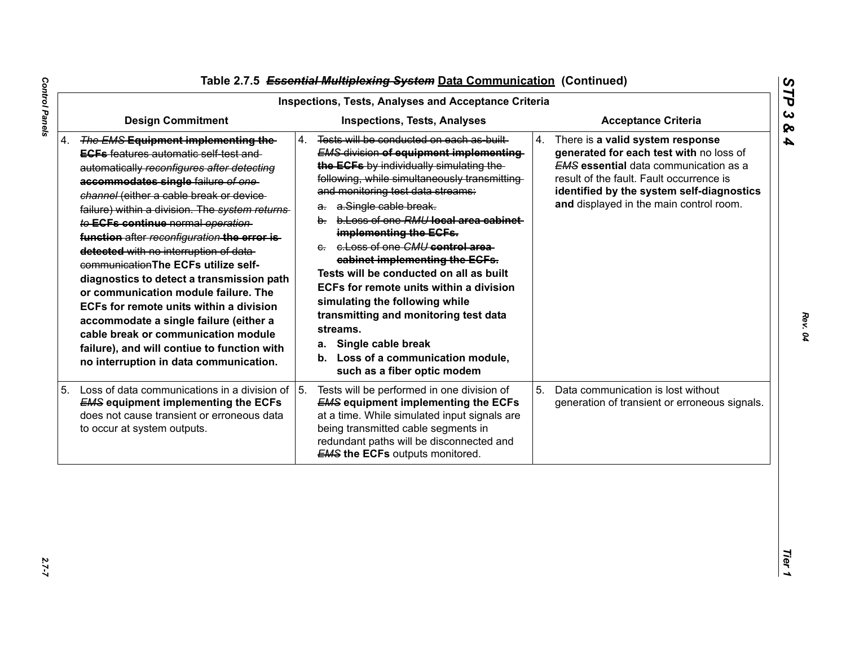|                                                                                                                                                                                                                                                                                                                                                                                                                                                                                                                                                                                                                                                                                                                                                            | <b>Inspections, Tests, Analyses and Acceptance Criteria</b>                                                                                                                                                                                                                                                                                                                                                                                                                                                                                                                                                                                                                             |                                                                                                                                                                                                                                                                       |
|------------------------------------------------------------------------------------------------------------------------------------------------------------------------------------------------------------------------------------------------------------------------------------------------------------------------------------------------------------------------------------------------------------------------------------------------------------------------------------------------------------------------------------------------------------------------------------------------------------------------------------------------------------------------------------------------------------------------------------------------------------|-----------------------------------------------------------------------------------------------------------------------------------------------------------------------------------------------------------------------------------------------------------------------------------------------------------------------------------------------------------------------------------------------------------------------------------------------------------------------------------------------------------------------------------------------------------------------------------------------------------------------------------------------------------------------------------------|-----------------------------------------------------------------------------------------------------------------------------------------------------------------------------------------------------------------------------------------------------------------------|
| <b>Design Commitment</b>                                                                                                                                                                                                                                                                                                                                                                                                                                                                                                                                                                                                                                                                                                                                   | <b>Inspections, Tests, Analyses</b>                                                                                                                                                                                                                                                                                                                                                                                                                                                                                                                                                                                                                                                     | <b>Acceptance Criteria</b>                                                                                                                                                                                                                                            |
| 4. The EMS Equipment implementing the-<br><b>EGFs</b> features automatic self test and<br>automatically reconfigures after detecting<br>accommodates single failure of one-<br>channel (either a cable break or device-<br>failure) within a division. The system returns<br>to ECFs continue normal operation<br>function after reconfiguration the error is-<br>detected with no interruption of data-<br>communication The ECFs utilize self-<br>diagnostics to detect a transmission path<br>or communication module failure. The<br>ECFs for remote units within a division<br>accommodate a single failure (either a<br>cable break or communication module<br>failure), and will contiue to function with<br>no interruption in data communication. | Tests will be conducted on each as built<br>4.<br><b>EMS division of equipment implementing</b><br>the ECFs by individually simulating the<br>following, while simultaneously transmitting<br>and monitoring test data streams:<br>a. a.Single cable break.<br>b. b. Loss of one RMU local area cabinet<br>implementing the ECFs.<br>e. e. Loss of one CMU control area<br>cabinet implementing the ECFs.<br>Tests will be conducted on all as built<br>ECFs for remote units within a division<br>simulating the following while<br>transmitting and monitoring test data<br>streams.<br>Single cable break<br>а.<br>b. Loss of a communication module,<br>such as a fiber optic modem | 4.<br>There is a valid system response<br>generated for each test with no loss of<br><b>EMS</b> essential data communication as a<br>result of the fault. Fault occurrence is<br>identified by the system self-diagnostics<br>and displayed in the main control room. |
| 5. Loss of data communications in a division of<br><b>EMS equipment implementing the ECFs</b><br>does not cause transient or erroneous data<br>to occur at system outputs.                                                                                                                                                                                                                                                                                                                                                                                                                                                                                                                                                                                 | 5.<br>Tests will be performed in one division of<br><b>EMS equipment implementing the ECFs</b><br>at a time. While simulated input signals are<br>being transmitted cable segments in<br>redundant paths will be disconnected and<br><b>EMS the ECFs outputs monitored.</b>                                                                                                                                                                                                                                                                                                                                                                                                             | 5.<br>Data communication is lost without<br>generation of transient or erroneous signals.                                                                                                                                                                             |